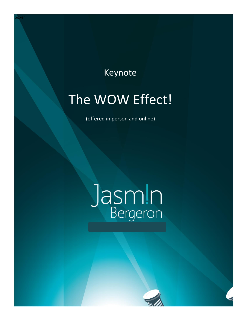### Keynote

## The WOW Effect!

(offered in person and online)

# Jasmin

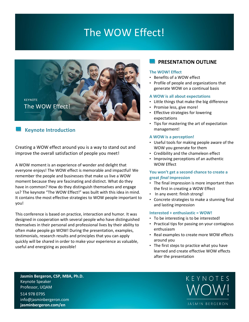## The WOW Effect!



#### **Keynote Introduction**

Creating a WOW effect around you is a way to stand out and improve the overall satisfaction of people you meet!

A WOW moment is an experience of wonder and delight that everyone enjoys! The WOW effect is memorable and impactful! We remember the people and businesses that make us live a WOW moment because they are fascinating and distinct. What do they have in common? How do they distinguish themselves and engage us? The keynote "The WOW Effect!" was built with this idea in mind. It contains the most effective strategies to WOW people important to you!

This conference is based on practice, interaction and humor. It was designed in cooperation with several people who have distinguished themselves in their personal and professional lives by their ability to often make people go WOW! During the presentation, examples, testimonials, research results and principles that you can apply quickly will be shared in order to make your experience as valuable, useful and energizing as possible!

#### **PRESENTATION OUTLINE**

#### **The WOW! Effect**

- Benefits of a WOW effect
- Profile of people and organizations that generate WOW on a continual basis

#### **A WOW is all about expectations**

- Little things that make the big difference
- Promise less, give more!
- Effective strategies for lowering expectations
- Tips for mastering the art of expectation management!

#### **A WOW is a perception!**

- Useful tools for making people aware of the WOW you generate for them
- Credibility and the chameleon effect
- Improving perceptions of an authentic WOW Effect

#### **You won't get a second chance to create a great** *final* **impression**

- The final impression is more important than the first in creating a WOW Effect
- In any event: finish strong!
- Concrete strategies to make a stunning final and lasting impression

#### **Interested + enthusiastic = WOW!**

- To be interesting is to be interested!
- Practical tips for passing on your contagious enthusiasm
- Real examples to create more WOW effects around you
- The first steps to practice what you have learned and create effective WOW effects after the presentation

**Jasmin Bergeron, CSP, MBA, Ph.D.** Keynote Speaker Professor, UQAM 514 978 0795

info@jasminbergeron.com **jasminbergeron.com/en**